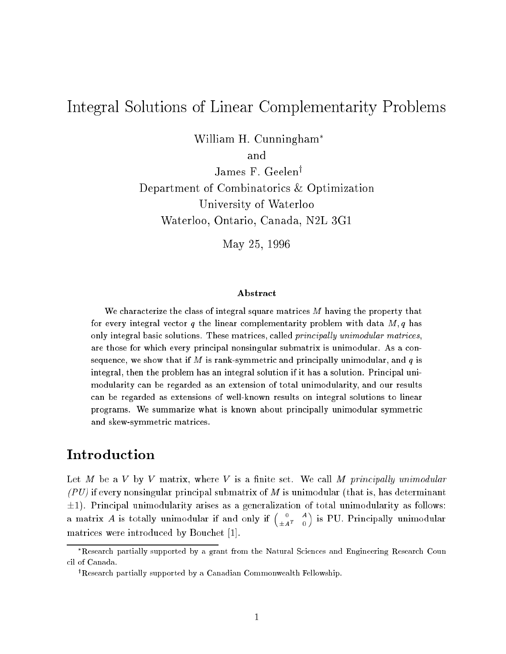# Integral Solutions of Linear Complementarity Problems

William H. Cunningham

and

James F. Geelen<sup>y</sup> Department of Combinatorics & Optimization University of Waterloo Waterloo, Ontario, Canada, N2L 3G1

May 25, <sup>1996</sup>

#### Abstract

We characterize the class of integral square matrices  $M$  having the property that for every integral vector q the linear complementarity problem with data  $M$ , q has only integral basic solutions. These matrices, called *principally unimodular matrices*, are those for which every principal nonsingular submatrix is unimodular. As a consequence, we show that if M is rank-symmetric and principally unimodular, and q is integral, then the problem has an integral solution if it has a solution. Principal unimodularity can be regarded as an extension of total unimodularity, and our results can be regarded as extensions of well-known results on integral solutions to linear programs. We summarize what is known about principally unimodular symmetric and skew-symmetric matrices.

## Introduction

Let M be a V by V matrix, where V is a finite set. We call M principally unimodular  $(PU)$  if every nonsingular principal submatrix of M is unimodular (that is, has determinant  $\pm 1$ ). Principal unimodularity arises as a generalization of total unimodularity as follows: a matrix A is totally unimodular if and only if  $\begin{pmatrix} 0 & A \\ -a & A \end{pmatrix}$  $\pm A^{T} = 0$  $\sim$ is Pu. Principally units Pu. Principally units Pu. Principally units Pu. Principally units Pu. Principally units Pu matrices were introduced by Bouchet [1].

Research partially supported by a grant from the Natural Sciences and Engineering Research Coun cil of Canada.

<sup>&</sup>lt;sup>†</sup>Research partially supported by a Canadian Commonwealth Fellowship.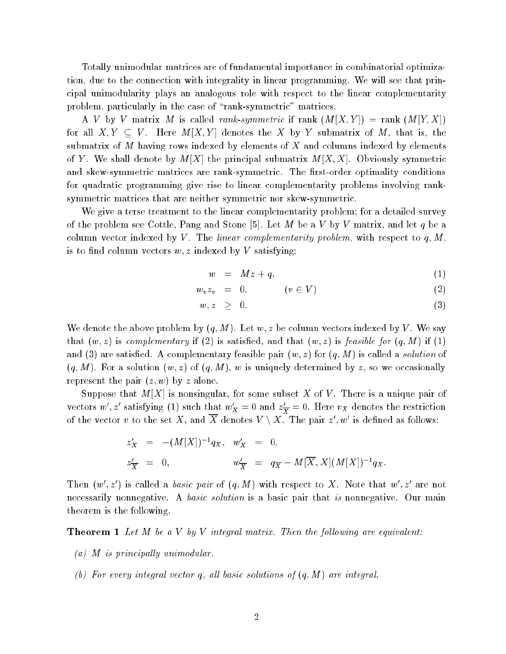Totally unimodular matrices are of fundamental importance in combinatorial optimization, due to the connection with integrality in linear programming. We will see that principal unimodularity plays an analogous role with respect to the linear complementarity problem, particularly in the case of "rank-symmetric" matrices.

A V by V matrix M is called rank-symmetric if rank  $(M[X, Y]) = \text{rank } (M[Y, X])$ for all  $X, Y \subseteq V$ . Here  $M[X, Y]$  denotes the X by Y submatrix of M, that is, the submatrix of M having rows indexed by elements of X and columns indexed by elements of Y. We shall denote by  $M[X]$  the principal submatrix  $M[X, X]$ . Obviously symmetric and skew-symmetric matrices are rank-symmetric. The first-order optimality conditions for quadratic programming give rise to linear complementarity problems involving ranksymmetric matrices that are neither symmetric nor skew-symmetric.

We give a terse treatment to the linear complementarity problem; for a detailed survey of the problem see Cottle, Pang and Stone [5]. Let M be a V by V matrix, and let q be a column vector indexed by V. The linear complementarity problem, with respect to q, M, is to find column vectors  $w, z$  indexed by V satisfying:

$$
w = Mz + q, \tag{1}
$$

$$
w_v z_v = 0, \qquad (v \in V) \tag{2}
$$

$$
w, z \geq 0. \tag{3}
$$

We denote the above problem by  $(q, M)$ . Let w, z be column vectors indexed by V. We say that  $(w, z)$  is complementary if (2) is satisfied, and that  $(w, z)$  is feasible for  $(q, M)$  if (1) and (3) are satisfied. A complementary feasible pair  $(w, z)$  for  $(q, M)$  is called a *solution* of  $(q, M)$ . For a solution  $(w, z)$  of  $(q, M)$ , w is uniquely determined by z, so we occasionally represent the pair  $(z, w)$  by z alone.

Suppose that  $M[X]$  is nonsingular, for some subset X of V. There is a unique pair of vectors  $w$  ,  $z$  satisfying (1) such that  $w_X^{}=0$  and  $z_{\overline{X}}^{}=0.$  Here  $v_X$  denotes the restriction of the vector v to the set X, and X denotes  $V \setminus X$ . The pair  $z', w'$  is defined as follows:

$$
z'_X = -(M[X])^{-1}q_X, \quad w'_X = 0,
$$
  

$$
z'_{\overline{X}} = 0, \qquad w'_{\overline{X}} = q_{\overline{X}} - M[\overline{X}, X](M[X])^{-1}q_X.
$$

Then  $(w', z')$  is called a *basic pair* of  $(q, M)$  with respect to X. Note that  $w', z'$  are not necessarily nonnegative. A *basic solution* is a basic pair that is nonnegative. Our main theorem is the following.

**Theorem 1** Let M be a V by V integral matrix. Then the following are equivalent:

- (a) M is principally unimodular.
- (b) For every integral vector q, all basic solutions of  $(q, M)$  are integral.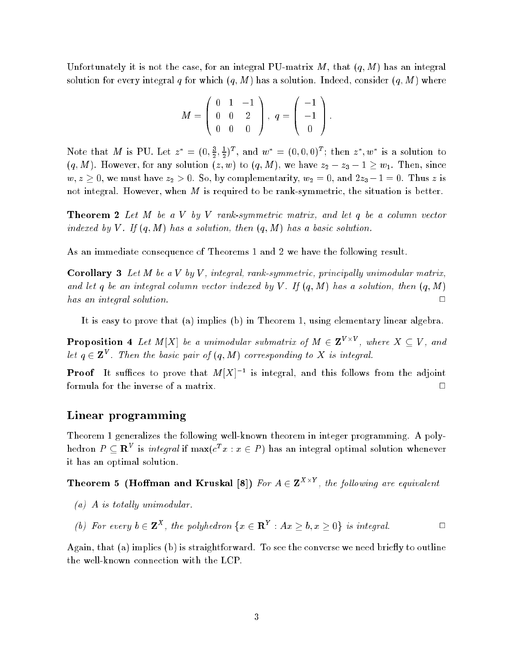Unfortunately it is not the case, for an integral PU-matrix  $M$ , that  $(q, M)$  has an integral solution for every integral q for which  $(q, M)$  has a solution. Indeed, consider  $(q, M)$  where

$$
M = \left(\begin{array}{ccc} 0 & 1 & -1 \\ 0 & 0 & 2 \\ 0 & 0 & 0 \end{array}\right), q = \left(\begin{array}{c} -1 \\ -1 \\ 0 \end{array}\right).
$$

Note that M is PU. Let  $z^* = (0, \frac{3}{2}, \frac{1}{2})^T$ , and  $w^* = (0, 0, 0)^T$ ; then  $z^*, w^*$  is a solution to  $(q, M)$ . However, for any solution  $(z, w)$  to  $(q, M)$ , we have  $z_2 - z_3 - 1 \geq w_1$ . Then, since  $w, z \geq 0$ , we must have  $z_2 > 0$ . So, by complementarity,  $w_2 = 0$ , and  $2z_3 - 1 = 0$ . Thus z is not integral. However, when  $M$  is required to be rank-symmetric, the situation is better.

**Theorem 2** Let M be a V by V rank-symmetric matrix, and let q be a column vector indexed by V. If  $(q, M)$  has a solution, then  $(q, M)$  has a basic solution.

As an immediate consequence of Theorems 1 and 2 we have the following result.

**Corollary 3** Let M be a V by V, integral, rank-symmetric, principally unimodular matrix, and let q be an integral column vector indexed by V. If  $(q, M)$  has a solution, then  $(q, M)$ has an integral solution.  $\Box$ 

It is easy to prove that (a) implies (b) in Theorem 1, using elementary linear algebra.

**Proposition 4** Let M[X] be a unimodular submatrix of  $M \in \mathbf{Z}^{V \times V}$ , where  $X \subseteq V$ , and let  $q \in \mathbf{Z}^V$ . Then the basic pair of  $(q, M)$  corresponding to X is integral.

**Proof** It suffices to prove that  $M[X]^{-1}$  is integral, and this follows from the adjoint formula for the inverse of a matrix. <sup>2</sup>

#### Linear programming

Theorem 1 generalizes the following well-known theorem in integer programming. A polyhedron  $P \subseteq \mathbb{R}^V$  is *integral* if  $\max(c^T x : x \in P)$  has an integral optimal solution whenever it has an optimal solution.

Theorem 5 (Hoffman and Kruskal [8]) For  $A \in \mathbf{Z}^{X \times Y}$ , the following are equivalent

(a) A is totally unimodular.

(b) For every 
$$
b \in \mathbf{Z}^X
$$
, the polyhedron  $\{x \in \mathbf{R}^Y : Ax \geq b, x \geq 0\}$  is integral.

Again, that (a) implies (b) is straightforward. To see the converse we need briefly to outline the well-known connection with the LCP.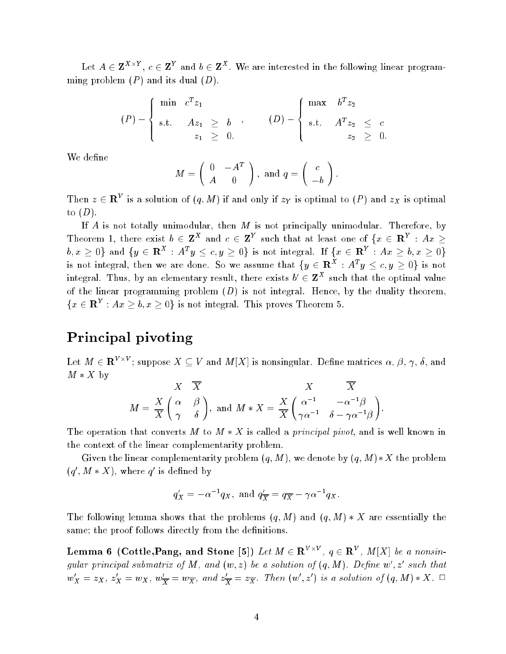Let  $A \in \mathbf{Z}^{X \times Y}$ ,  $c \in \mathbf{Z}^{Y}$  and  $b \in \mathbf{Z}^{X}$ . We are interested in the following linear programming problem  $(P)$  and its dual  $(D)$ .

$$
(P) - \begin{cases} \min \ c^T z_1 \\ \text{s.t.} \quad Az_1 \geq b \\ z_1 \geq 0. \end{cases}, \qquad (D) - \begin{cases} \max \ b^T z_2 \\ \text{s.t.} \quad A^T z_2 \leq c \\ z_2 \geq 0. \end{cases}
$$

We define

$$
M = \left(\begin{array}{cc} 0 & -A^T \\ A & 0 \end{array}\right), \text{ and } q = \left(\begin{array}{c} c \\ -b \end{array}\right)
$$

:

Then  $z \in \mathbf{R}^V$  is a solution of  $(q, M)$  if and only if  $z_Y$  is optimal to  $(P)$  and  $z_X$  is optimal to  $(D)$ .

If  $A$  is not totally unimodular, then  $M$  is not principally unimodular. Therefore, by Theorem 1, there exist  $b \in \mathbf{Z}^X$  and  $c \in \mathbf{Z}^Y$  such that at least one of  $\{x \in \mathbf{R}^Y : Ax \geq 0\}$  $b, x \geq 0\}$  and  $\{y \in \mathbf{R}^X : A^Ty \leq c, y \geq 0\}$  is not integral. If  $\{x \in \mathbf{R}^Y : Ax \geq b, x \geq 0\}$ is not integral, then we are done. So we assume that  $\{y \in \mathbf{R}^X : A^T y \leq c, y \geq 0\}$  is not integral. Thus, by an elementary result, there exists  $b' \in \mathbf{Z}^X$  such that the optimal value of the linear programming problem  $(D)$  is not integral. Hence, by the duality theorem,  $\{x \in \mathbf{R}^Y : Ax \geq b, x \geq 0\}$  is not integral. This proves Theorem 5.

## Principal pivoting

Let  $M\in{\bf R}^{V\times V}$ ; suppose  $X\subseteq V$  and  $M[X]$  is nonsingular. Define matrices  $\alpha,\,\beta,\,\gamma,\,\delta,$  and  $M * X$  by

$$
M = \frac{X}{X} \left( \begin{matrix} \alpha & \beta \\ \gamma & \delta \end{matrix} \right), \text{ and } M*X = \frac{X}{X} \left( \begin{matrix} \alpha^{-1} & -\alpha^{-1}\beta \\ \gamma\alpha^{-1} & \delta - \gamma\alpha^{-1}\beta \end{matrix} \right).
$$

The operation that converts M to  $M * X$  is called a *principal pivot*, and is well known in the context of the linear complementarity problem.

Given the linear complementarity problem  $(q, M)$ , we denote by  $(q, M) * X$  the problem  $(q', M * X)$ , where q' is defined by

$$
q'_X = -\alpha^{-1} q_X, \text{ and } q'_{\overline{X}} = q_{\overline{X}} - \gamma \alpha^{-1} q_X.
$$

The following lemma shows that the problems  $(q, M)$  and  $(q, M) * X$  are essentially the same; the proof follows directly from the definitions.

Lemma 6 (Cottle,Pang, and Stone [5]) Let  $M\in \mathbf{R}^{V\times V}$ ,  $q\in \mathbf{R}^V$ ,  $M[X]$  be a nonsingular principal submatrix of M, and  $(w, z)$  be a solution of  $(q, M)$ . Define w', z' such that  $w'_X=z_X, z'_X=w_X, w'_\overline{X}=w_{\overline{X}}, \ and \ z'_{\overline{X}}=z_{\overline{X}}.$  Then  $(w',z')$  is a solution of  $(q,M)*X.$   $\Box$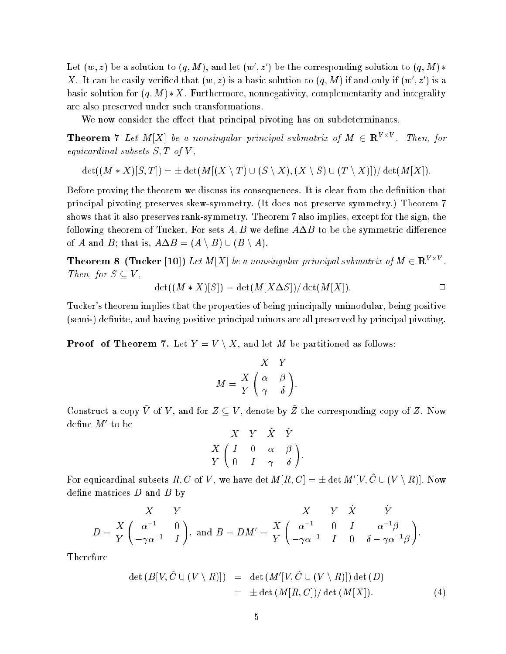Let  $(w, z)$  be a solution to  $(q, M)$ , and let  $(w', z')$  be the corresponding solution to  $(q, M)$ \* X. It can be easily verified that  $(w, z)$  is a basic solution to  $(q, M)$  if and only if  $(w', z')$  is a basic solution for  $(q, M) * X$ . Furthermore, nonnegativity, complementarity and integrality are also preserved under such transformations.

We now consider the effect that principal pivoting has on subdeterminants.

**Theorem 7** Let M[X] be a nonsingular principal submatrix of  $M \in \mathbb{R}^{V \times V}$ . Then, for equicardinal subsets  $S, T$  of  $V$ ,

 $\det((M * X)[S, T]) = \pm \det(M[(X \setminus T) \cup (S \setminus X), (X \setminus S) \cup (T \setminus X)])/\det(M[X]).$ 

Before proving the theorem we discuss its consequences. It is clear from the definition that principal pivoting preserves skew-symmetry. (It does not preserve symmetry.) Theorem 7 shows that it also preserves rank-symmetry. Theorem 7 also implies, except for the sign, the following theorem of Tucker. For sets  $A, B$  we define  $A \Delta B$  to be the symmetric difference of A and B; that is,  $A \Delta B = (A \setminus B) \cup (B \setminus A)$ .

**Theorem 8 (Tucker [10])** Let M[X] be a nonsingular principal submatrix of  $M \in \mathbb{R}^{V \times V}$ . Then, for  $S \subseteq V$ ,

$$
\det((M * X)[S]) = \det(M[X \Delta S]) / \det(M[X]). \square
$$

Tucker's theorem implies that the properties of being principally unimodular, being positive (semi-) definite, and having positive principal minors are all preserved by principal pivoting.

**Proof of Theorem 7.** Let  $Y = V \setminus X$ , and let M be partitioned as follows:

$$
M = \frac{X}{Y} \begin{pmatrix} X & Y \\ \alpha & \beta \\ \gamma & \delta \end{pmatrix}.
$$

Construct a copy V of V, and for  $Z \subseteq V$ , denote by Z the corresponding copy of Z. Now  $\mathrm{define}\ M'$  to be

$$
\begin{array}{c c c c c c c} & X & Y & X & Y \\ X & \left(\begin{array}{ccc} I & 0 & \alpha & \beta \\ 0 & I & \gamma & \delta \end{array}\right). \end{array}
$$

For equicardinal subsets  $R,C$  of  $V,$  we have  $\det M(R,C)=\pm \det M'[V,C\cup (V\setminus R)].$  Now define matrices  $D$  and  $B$  by

$$
\begin{array}{ccc} & X & Y & X & Y & \tilde{X} & \tilde{Y} \\ D=\frac{X}{Y}\left(\begin{array}{ccc} \alpha^{-1} & 0 \\ -\gamma\alpha^{-1} & I \end{array}\right), \text{ and } B=DM'=\frac{X}{Y}\left(\begin{array}{ccc} \alpha^{-1} & 0 & I & \alpha^{-1}\beta \\ -\gamma\alpha^{-1} & I & 0 & \delta-\gamma\alpha^{-1}\beta \end{array}\right). \end{array}
$$

Therefore

$$
\det (B[V, \tilde{C} \cup (V \setminus R)]) = \det (M'[V, \tilde{C} \cup (V \setminus R)]) \det (D)
$$
  
= 
$$
\pm \det (M[R, C]) / \det (M[X]). \qquad (4)
$$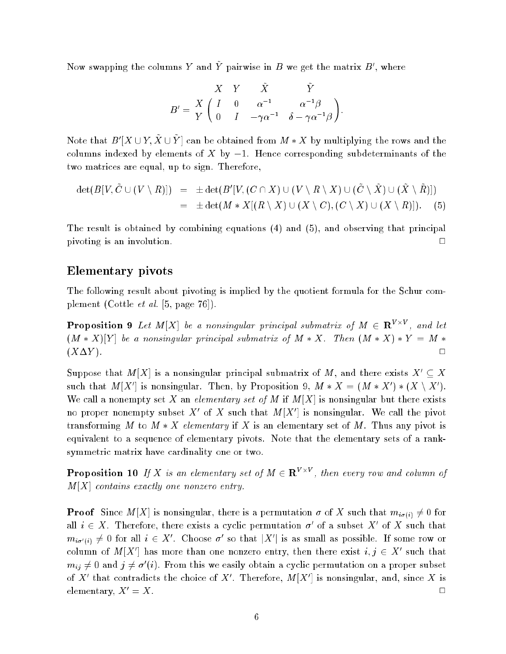Now swapping the columns Y and Y pairwise in B we get the matrix  $B'$ , where

$$
B' = \frac{X}{Y} \begin{pmatrix} Y & \tilde{X} & \tilde{Y} \\ I & 0 & \alpha^{-1} & \alpha^{-1}\beta \\ 0 & I & -\gamma\alpha^{-1} & \delta - \gamma\alpha^{-1}\beta \end{pmatrix}
$$

:

Note that  $B' | X \cup Y, X \cup Y |$  can be obtained from  $M * X$  by multiplying the rows and the columns indexed by elements of X by  $-1$ . Hence corresponding subdeterminants of the two matrices are equal, up to sign. Therefore,

$$
\begin{array}{lcl} \det(B[V,\tilde{C}\cup (V\setminus R)]) & = & \pm \det(B'[V,(C\cap X)\cup (V\setminus R\setminus X)\cup (\tilde{C}\setminus \tilde{X})\cup (\tilde{X}\setminus \tilde{R})]) \\ \\ & = & \pm \det(M*X[(R\setminus X)\cup (X\setminus C),(C\setminus X)\cup (X\setminus R)]). \end{array} \quad \ \ (5)
$$

The result is obtained by combining equations (4) and (5), and observing that principal pivoting is an involution. <sup>2</sup>  $\Box$ 

#### Elementary pivots

The following result about pivoting is implied by the quotient formula for the Schur complement (Cottle et al. [5, page 76]).

**Proposition 9** Let M[X] be a nonsingular principal submatrix of  $M \in \mathbb{R}^{V \times V}$ , and let  $(M * X)[Y]$  be a nonsingular principal submatrix of  $M * X$ . Then  $(M * X) * Y = M *$  $(X\Delta Y)$ .

Suppose that  $M[X]$  is a nonsingular principal submatrix of M, and there exists  $X' \subseteq X$ such that  $M[X']$  is nonsingular. Then, by Proposition 9,  $M*X = (M*X')*(X \setminus X')$ . We call a nonempty set X an *elementary set of M* if  $M[X]$  is nonsingular but there exists no proper nonempty subset X' of X such that  $M|X'|$  is nonsingular. We call the pivot transforming M to  $M * X$  elementary if X is an elementary set of M. Thus any pivot is equivalent to a sequence of elementary pivots. Note that the elementary sets of a ranksymmetric matrix have cardinality one or two.

**Proposition 10** If X is an elementary set of  $M \in \mathbb{R}^{V \times V}$ , then every row and column of  $M[X]$  contains exactly one nonzero entry.

**Proof** Since  $M[X]$  is nonsingular, there is a permutation  $\sigma$  of X such that  $m_{i\sigma(i)} \neq 0$  for all  $i \in X$ . Therefore, there exists a cyclic permutation  $\sigma'$  of a subset X' of X such that  $m_{i\sigma'(i)} \neq 0$  for all  $i \in X'$ . Choose  $\sigma'$  so that  $|X'|$  is as small as possible. If some row or column of  $M[X']$  has more than one nonzero entry, then there exist  $i, j \in X'$  such that  $m_{ij}\neq 0$  and  $j\neq \sigma'(i)$ . From this we easily obtain a cyclic permutation on a proper subset of X' that contradicts the choice of X'. Therefore,  $M[X']$  is nonsingular, and, since X is elementary,  $X' = X$ .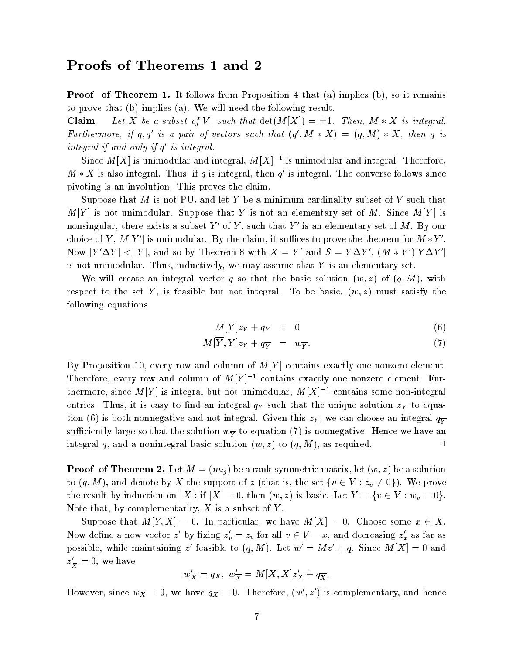Proof of Theorem 1. It follows from Proposition 4 that (a) implies (b), so it remains to prove that (b) implies (a). We will need the following result.

**Claim** Let X be a subset of V, such that  $\det(M[X]) = \pm 1$ . Then,  $M * X$  is integral. Furthermore, if q, q' is a pair of vectors such that  $(q', M * X) = (q, M) * X$ , then q is integral if and only if q is integral.

Since  $M[X]$  is unimodular and integral,  $M[X]^{-1}$  is unimodular and integral. Therefore,  $M * X$  is also integral. Thus, if q is integral, then q' is integral. The converse follows since pivoting is an involution. This proves the claim.

Suppose that M is not PU, and let Y be a minimum cardinality subset of  $V$  such that  $M[Y]$  is not unimodular. Suppose that Y is not an elementary set of M. Since  $M[Y]$  is nonsingular, there exists a subset Y' of Y, such that Y' is an elementary set of M. By our choice of Y,  $M|Y'|$  is unimodular. By the claim, it suffices to prove the theorem for  $M*Y'$ . Now  $|Y'\Delta Y| < |Y|$ , and so by Theorem 8 with  $X = Y'$  and  $S = Y\Delta Y'$ ,  $(M * Y')|Y\Delta Y'|$ is not unimodular. Thus, inductively, we may assume that Y is an elementary set.

We will create an integral vector q so that the basic solution  $(w, z)$  of  $(q, M)$ , with respect to the set Y, is feasible but not integral. To be basic,  $(w, z)$  must satisfy the following equations

$$
M[Y]z_Y + q_Y = 0 \tag{6}
$$

$$
M[Y,Y]z_Y + q_{\overline{Y}} = w_{\overline{Y}}.\t\t(7)
$$

By Proposition 10, every row and column of  $M[Y]$  contains exactly one nonzero element. Therefore, every row and column of  $M[Y]^{-1}$  contains exactly one nonzero element. Furthermore, since M[Y] is integral but not unimodular,  $M|X|^{-1}$  contains some non-integral entries. Thus, it is easy to find an integral  $q<sub>Y</sub>$  such that the unique solution  $z<sub>Y</sub>$  to equation (6) is both nonnegative and not integral. Given this  $z_Y,$  we can choose an integral  $q_{\overline Y}$ sufficiently large so that the solution  $w_{\overline{Y}}$  to equation (7) is nonnegative. Hence we have an integral q, and a nonintegral basic solution  $(w, z)$  to  $(q, M)$ , as required.

**Proof of Theorem 2.** Let  $M = (m_{ii})$  be a rank-symmetric matrix, let  $(w, z)$  be a solution to  $(q, M)$ , and denote by X the support of z (that is, the set  $\{v \in V : z_v \neq 0\}$ ). We prove the result by induction on |X|; if  $|X| = 0$ , then  $(w, z)$  is basic. Let  $Y = \{v \in V : w_v = 0\}.$ Note that, by complementarity,  $X$  is a subset of  $Y$ .

Suppose that  $M[Y,X] = 0$ . In particular, we have  $M[X] = 0$ . Choose some  $x \in X$ . Now define a new vector  $z'$  by fixing  $z'_v = z_v$  for all  $v \in V - x$ , and decreasing  $z'_x$  as far as possible, while maintaining z' feasible to  $(q, M)$ . Let  $w' = Mz' + q$ . Since  $M[X] = 0$  and  $z_{\overline{X}}=$  0, we have

$$
w'_X = q_X, \ w'_{\overline{X}} = M[\overline{X}, X]z'_X + q_{\overline{X}}.
$$

However, since  $w_X = 0$ , we have  $q_X = 0$ . Therefore,  $(w, z)$  is complementary, and hence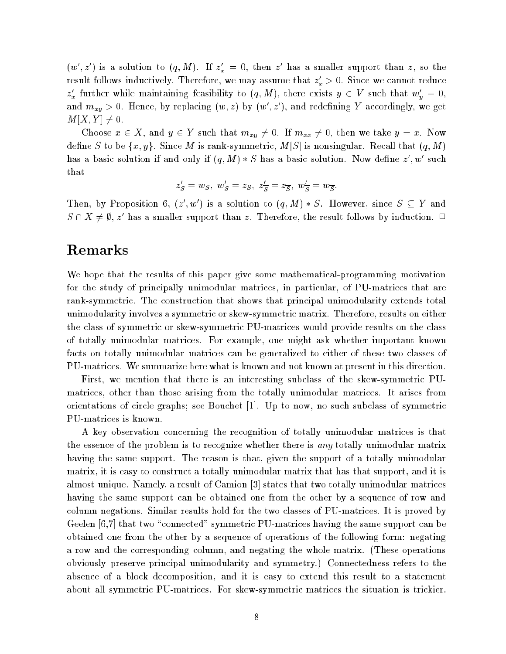$(w', z')$  is a solution to  $(q, M)$ . If  $z_x' = 0$ , then z' has a smaller support than z, so the result follows inductively. Therefore, we may assume that  $z_x^* \geq 0.$  Since we cannot reduce  $z'_x$  further while maintaining feasibility to  $(q, M)$ , there exists  $y \in V$  such that  $w'_y = 0$ , and  $m_{xy} > 0$ . Hence, by replacing  $(w, z)$  by  $(w', z')$ , and redefining Y accordingly, we get  $M[X, Y] \neq 0.$ 

Choose  $x \in X$ , and  $y \in Y$  such that  $m_{xy} \neq 0$ . If  $m_{xx} \neq 0$ , then we take  $y = x$ . Now define S to be  $\{x,y\}$ . Since M is rank-symmetric,  $M[S]$  is nonsingular. Recall that  $(q,M)$ has a basic solution if and only if  $(q, M) * S$  has a basic solution. Now define  $z', w'$  such that

$$
z'_S=w_S, \ w'_S=z_S, \ z'_{\overline{S}}=z_{\overline{S}}, \ w'_{\overline{S}}=w_{\overline{S}}.
$$

Then, by Proposition 6,  $(z', w')$  is a solution to  $(q, M) * S$ . However, since  $S \subseteq Y$  and  $S \cap X \neq \emptyset$ , z' has a smaller support than z. Therefore, the result follows by induction.  $\Box$ 

### Remarks

We hope that the results of this paper give some mathematical-programming motivation for the study of principally unimodular matrices, in particular, of PU-matrices that are rank-symmetric. The construction that shows that principal unimodularity extends total unimodularity involves a symmetric or skew-symmetric matrix. Therefore, results on either the class of symmetric or skew-symmetric PU-matrices would provide results on the class of totally unimodular matrices. For example, one might ask whether important known facts on totally unimodular matrices can be generalized to either of these two classes of PU-matrices. We summarize here what is known and not known at present in this direction.

First, we mention that there is an interesting subclass of the skew-symmetric PUmatrices, other than those arising from the totally unimodular matrices. It arises from orientations of circle graphs; see Bouchet [1]. Up to now, no such subclass of symmetric PU-matrices is known.

A key observation concerning the recognition of totally unimodular matrices is that the essence of the problem is to recognize whether there is *any* totally unimodular matrix having the same support. The reason is that, given the support of a totally unimodular matrix, it is easy to construct a totally unimodular matrix that has that support, and it is almost unique. Namely, a result of Camion [3] states that two totally unimodular matrices having the same support can be obtained one from the other by a sequence of row and column negations. Similar results hold for the two classes of PU-matrices. It is proved by Geelen [6,7] that two "connected" symmetric PU-matrices having the same support can be obtained one from the other by a sequence of operations of the following form: negating a row and the corresponding column, and negating the whole matrix. (These operations obviously preserve principal unimodularity and symmetry.) Connectedness refers to the absence of a block decomposition, and it is easy to extend this result to a statement about all symmetric PU-matrices. For skew-symmetric matrices the situation is trickier.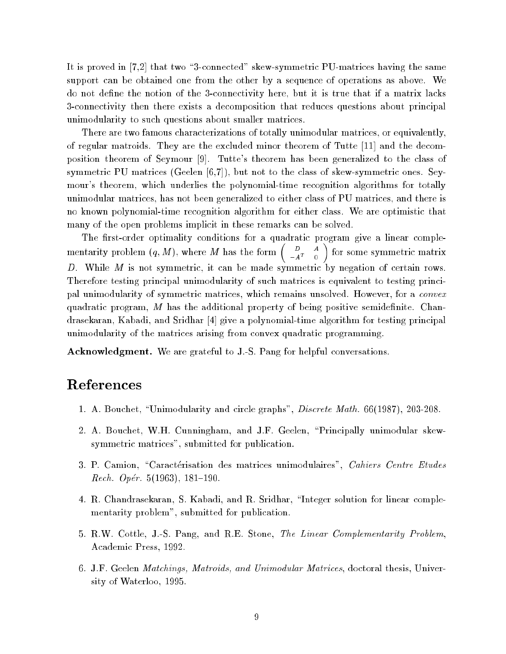It is proved in [7,2] that two \3-connected" skew-symmetric PU-matrices having the same support can be obtained one from the other by a sequence of operations as above. We do not define the notion of the 3-connectivity here, but it is true that if a matrix lacks 3-connectivity then there exists a decomposition that reduces questions about principal unimodularity to such questions about smaller matrices.

There are two famous characterizations of totally unimodular matrices, or equivalently, of regular matroids. They are the excluded minor theorem of Tutte [11] and the decomposition theorem of Seymour [9]. Tutte's theorem has been generalized to the class of symmetric PU matrices (Geelen [6,7]), but not to the class of skew-symmetric ones. Seymour's theorem, which underlies the polynomial-time recognition algorithms for totally unimodular matrices, has not been generalized to either class of PU matrices, and there is no known polynomial-time recognition algorithm for either class. We are optimistic that many of the open problems implicit in these remarks can be solved.

The first-order optimality conditions for a quadratic program give a linear complementarity problem  $(q, M)$ , where M has the form  $\begin{pmatrix} D & A \\ A^T & 0 \end{pmatrix}$  $-A<sup>T</sup> = 0$  $\sim$ for some symmetric matrix  $D$ . While  $M$  is not symmetric, it can be made symmetric by negation of certain rows. Therefore testing principal unimodularity of such matrices is equivalent to testing principal unimodularity of symmetric matrices, which remains unsolved. However, for a convex quadratic program, M has the additional property of being positive semidefinite. Chandrasekaran, Kabadi, and Sridhar [4] give a polynomial-time algorithm for testing principal unimodularity of the matrices arising from convex quadratic programming.

Acknowledgment. We are grateful to J.-S. Pang for helpful conversations.

## References

- 1. A. Bouchet, \Unimodularity and circle graphs", Discrete Math. 66(1987), 203-208.
- 2. A. Bouchet, W.H. Cunningham, and J.F. Geelen, \Principally unimodular skewsymmetric matrices", submitted for publication.
- 3. P. Camion, "Caractérisation des matrices unimodulaires", Cahiers Centre Etudes Rech. Opér. 5(1963), 181–190.
- 4. R. Chandrasekaran, S. Kabadi, and R. Sridhar, \Integer solution for linear complementarity problem", submitted for publication.
- 5. R.W. Cottle, J.-S. Pang, and R.E. Stone, The Linear Complementarity Problem, Academic Press, 1992.
- 6. J.F. Geelen *Matchings, Matroids, and Unimodular Matrices*, doctoral thesis, University of Waterloo, 1995.